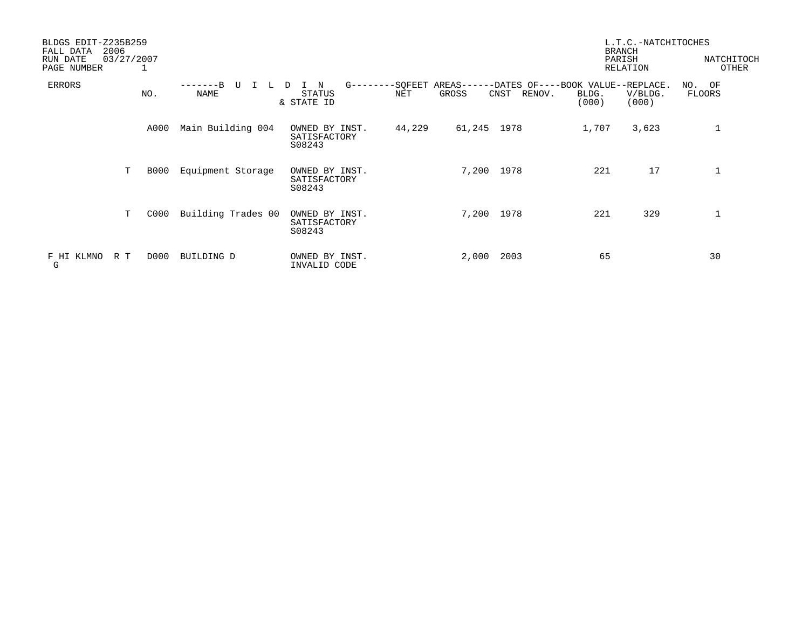| BLDGS EDIT-Z235B259<br>2006<br>FALL DATA |                    |                                          |        |             |                                                                    | <b>BRANCH</b>  | L.T.C.-NATCHITOCHES |                     |
|------------------------------------------|--------------------|------------------------------------------|--------|-------------|--------------------------------------------------------------------|----------------|---------------------|---------------------|
| 03/27/2007<br>RUN DATE<br>PAGE NUMBER    |                    |                                          |        |             |                                                                    | PARISH         | RELATION            | NATCHITOCH<br>OTHER |
| <b>ERRORS</b><br>NO.                     | NAME               | $G$ -------<br>N<br>STATUS<br>& STATE ID | NET    | GROSS       | -SOFEET AREAS------DATES OF----BOOK VALUE--REPLACE.<br>CNST RENOV. | BLDG.<br>(000) | V/BLDG.<br>(000)    | NO. OF<br>FLOORS    |
| A000                                     | Main Building 004  | OWNED BY INST.<br>SATISFACTORY<br>S08243 | 44,229 | 61,245 1978 |                                                                    | 1,707          | 3,623               | $\mathbf{1}$        |
| T.<br><b>B000</b>                        | Equipment Storage  | OWNED BY INST.<br>SATISFACTORY<br>S08243 |        | 7,200       | 1978                                                               | 221            | 17                  | $\mathbf{1}$        |
| T.<br>C000                               | Building Trades 00 | OWNED BY INST.<br>SATISFACTORY<br>S08243 |        | 7,200       | 1978                                                               | 221            | 329                 | $\mathbf{1}$        |
| D000<br>F HI KLMNO<br>R T<br>G           | BUILDING D         | OWNED BY INST.<br>INVALID CODE           |        | 2,000       | 2003                                                               | 65             |                     | 30                  |